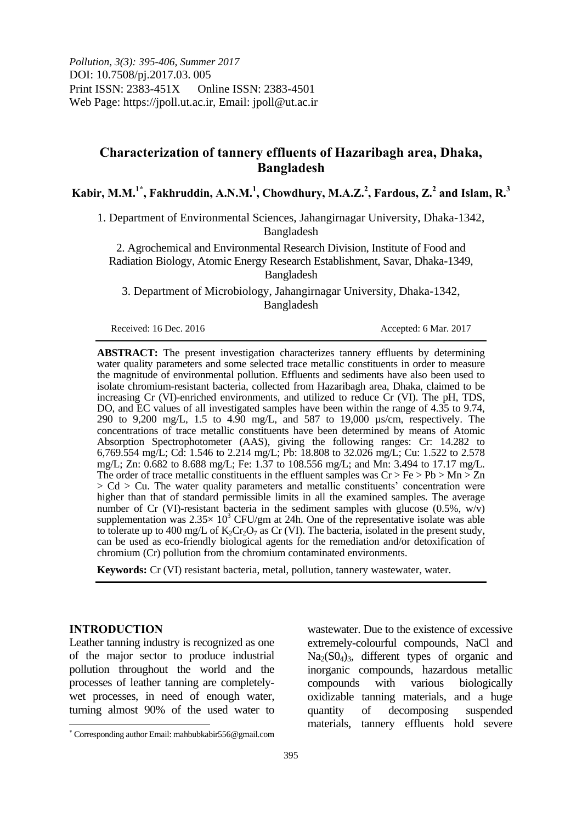*Pollution, 3(3): 395-406, Summer 2017* DOI: 10.7508/pj.2017.03. 005 Print ISSN: 2383-451X Online ISSN: 2383-4501 Web Page: https://jpoll.ut.ac.ir, Email: jpoll@ut.ac.ir

# **Characterization of tannery effluents of Hazaribagh area, Dhaka, Bangladesh**

**Kabir, M.M.1\* , Fakhruddin, A.N.M.<sup>1</sup> , Chowdhury, M.A.Z.<sup>2</sup> , Fardous, Z.<sup>2</sup> and Islam, R.<sup>3</sup>**

1. Department of Environmental Sciences, Jahangirnagar University, Dhaka-1342, Bangladesh

2. Agrochemical and Environmental Research Division, Institute of Food and Radiation Biology, Atomic Energy Research Establishment, Savar, Dhaka-1349, Bangladesh

3. Department of Microbiology, Jahangirnagar University, Dhaka-1342, Bangladesh

Received: 16 Dec. 2016 **Accepted: 6 Mar. 2017** 

**ABSTRACT:** The present investigation characterizes tannery effluents by determining water quality parameters and some selected trace metallic constituents in order to measure the magnitude of environmental pollution. Effluents and sediments have also been used to isolate chromium-resistant bacteria, collected from Hazaribagh area, Dhaka, claimed to be increasing Cr (VI)-enriched environments, and utilized to reduce Cr (VI). The pH, TDS, DO, and EC values of all investigated samples have been within the range of 4.35 to 9.74, 290 to 9,200 mg/L, 1.5 to 4.90 mg/L, and 587 to 19,000 µs/cm, respectively. The concentrations of trace metallic constituents have been determined by means of Atomic Absorption Spectrophotometer (AAS), giving the following ranges: Cr: 14.282 to 6,769.554 mg/L; Cd: 1.546 to 2.214 mg/L; Pb: 18.808 to 32.026 mg/L; Cu: 1.522 to 2.578 mg/L; Zn: 0.682 to 8.688 mg/L; Fe: 1.37 to 108.556 mg/L; and Mn: 3.494 to 17.17 mg/L. The order of trace metallic constituents in the effluent samples was  $Cr > Fe > Pb > Mn > Zn$  $> Cd > Cu$ . The water quality parameters and metallic constituents' concentration were higher than that of standard permissible limits in all the examined samples. The average number of Cr (VI)-resistant bacteria in the sediment samples with glucose  $(0.5\% , w\overline{v})$ supplementation was  $2.35 \times 10^3$  CFU/gm at 24h. One of the representative isolate was able to tolerate up to 400 mg/L of  $K_2Cr_2O_7$  as Cr (VI). The bacteria, isolated in the present study, can be used as eco-friendly biological agents for the remediation and/or detoxification of chromium (Cr) pollution from the chromium contaminated environments.

**Keywords:** Cr (VI) resistant bacteria, metal, pollution, tannery wastewater, water.

## **INTRODUCTION**

 $\overline{a}$ 

Leather tanning industry is recognized as one of the major sector to produce industrial pollution throughout the world and the processes of leather tanning are completelywet processes, in need of enough water, turning almost 90% of the used water to wastewater. Due to the existence of excessive extremely-colourful compounds, NaCl and  $Na<sub>2</sub>(SO<sub>4</sub>)<sub>3</sub>$ , different types of organic and inorganic compounds, hazardous metallic compounds with various biologically oxidizable tanning materials, and a huge quantity of decomposing suspended materials, tannery effluents hold severe

Corresponding author Email: mahbubkabir556@gmail.com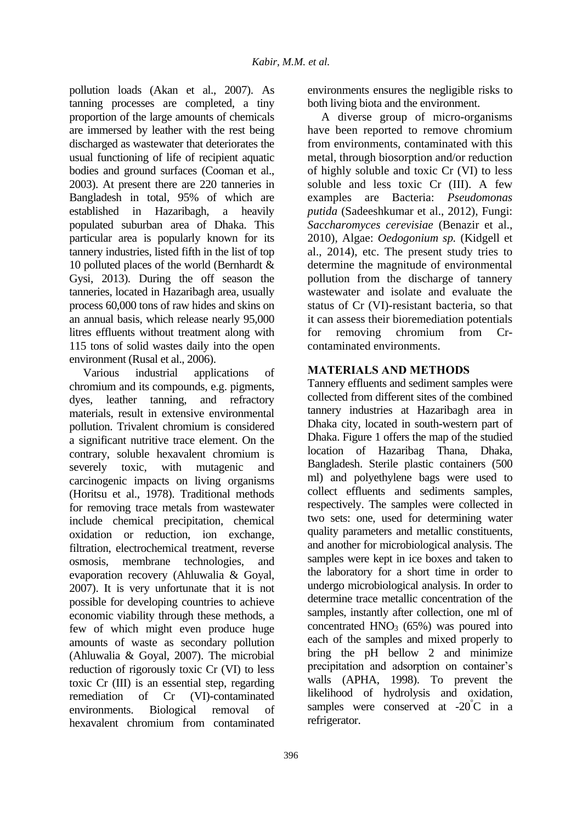pollution loads (Akan et al., 2007). As tanning processes are completed, a tiny proportion of the large amounts of chemicals are immersed by leather with the rest being discharged as wastewater that deteriorates the usual functioning of life of recipient aquatic bodies and ground surfaces (Cooman et al., 2003). At present there are 220 tanneries in Bangladesh in total, 95% of which are established in Hazaribagh, a heavily populated suburban area of Dhaka. This particular area is popularly known for its tannery industries, listed fifth in the list of top 10 polluted places of the world (Bernhardt & Gysi, 2013). During the off season the tanneries, located in Hazaribagh area, usually process 60,000 tons of raw hides and skins on an annual basis, which release nearly 95,000 litres effluents without treatment along with 115 tons of solid wastes daily into the open environment (Rusal et al., 2006).

Various industrial applications of chromium and its compounds, e.g. pigments, dyes, leather tanning, and refractory materials, result in extensive environmental pollution. Trivalent chromium is considered a significant nutritive trace element. On the contrary, soluble hexavalent chromium is severely toxic, with mutagenic and carcinogenic impacts on living organisms (Horitsu et al., 1978). Traditional methods for removing trace metals from wastewater include chemical precipitation, chemical oxidation or reduction, ion exchange, filtration, electrochemical treatment, reverse osmosis, membrane technologies, and evaporation recovery (Ahluwalia & Goyal, 2007). It is very unfortunate that it is not possible for developing countries to achieve economic viability through these methods, a few of which might even produce huge amounts of waste as secondary pollution (Ahluwalia & Goyal, 2007). The microbial reduction of rigorously toxic Cr (VI) to less toxic Cr (III) is an essential step, regarding remediation of Cr (VI)-contaminated environments. Biological removal of hexavalent chromium from contaminated

environments ensures the negligible risks to both living biota and the environment.

A diverse group of micro-organisms have been reported to remove chromium from environments, contaminated with this metal, through biosorption and/or reduction of highly soluble and toxic Cr (VI) to less soluble and less toxic Cr (III). A few examples are Bacteria: *Pseudomonas putida* (Sadeeshkumar et al., 2012), Fungi: *Saccharomyces cerevisiae* (Benazir et al., 2010), Algae: *Oedogonium sp.* (Kidgell et al., 2014), etc. The present study tries to determine the magnitude of environmental pollution from the discharge of tannery wastewater and isolate and evaluate the status of Cr (VI)-resistant bacteria, so that it can assess their bioremediation potentials for removing chromium from Crcontaminated environments.

## **MATERIALS AND METHODS**

Tannery effluents and sediment samples were collected from different sites of the combined tannery industries at Hazaribagh area in Dhaka city, located in south-western part of Dhaka. Figure 1 offers the map of the studied location of Hazaribag Thana, Dhaka, Bangladesh. Sterile plastic containers (500 ml) and polyethylene bags were used to collect effluents and sediments samples, respectively. The samples were collected in two sets: one, used for determining water quality parameters and metallic constituents, and another for microbiological analysis. The samples were kept in ice boxes and taken to the laboratory for a short time in order to undergo microbiological analysis. In order to determine trace metallic concentration of the samples, instantly after collection, one ml of concentrated  $HNO<sub>3</sub>$  (65%) was poured into each of the samples and mixed properly to bring the pH bellow 2 and minimize precipitation and adsorption on container's walls (APHA, 1998). To prevent the likelihood of hydrolysis and oxidation, samples were conserved at  $-20^{\circ}$ C in a refrigerator.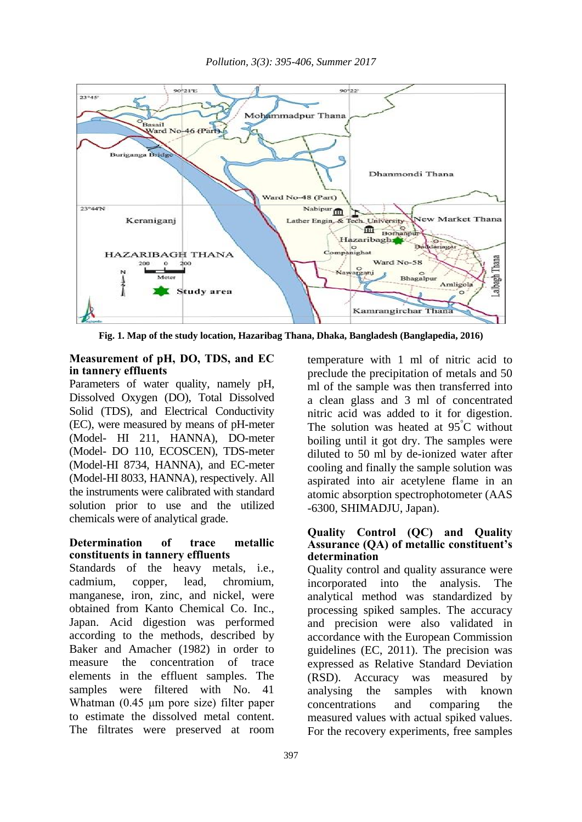

**Fig. 1. Map of the study location, Hazaribag Thana, Dhaka, Bangladesh (Banglapedia, 2016)**

## **Measurement of pH, DO, TDS, and EC in tannery effluents**

Parameters of water quality, namely pH, Dissolved Oxygen (DO), Total Dissolved Solid (TDS), and Electrical Conductivity (EC), were measured by means of pH-meter (Model- HI 211, HANNA), DO-meter (Model- DO 110, ECOSCEN), TDS-meter (Model-HI 8734, HANNA), and EC-meter (Model-HI 8033, HANNA), respectively. All the instruments were calibrated with standard solution prior to use and the utilized chemicals were of analytical grade.

## **Determination of trace metallic constituents in tannery effluents**

Standards of the heavy metals, i.e., cadmium, copper, lead, chromium, manganese, iron, zinc, and nickel, were obtained from Kanto Chemical Co. Inc., Japan. Acid digestion was performed according to the methods, described by Baker and Amacher (1982) in order to measure the concentration of trace elements in the effluent samples. The samples were filtered with No. 41 Whatman (0.45 μm pore size) filter paper to estimate the dissolved metal content. The filtrates were preserved at room

temperature with 1 ml of nitric acid to preclude the precipitation of metals and 50 ml of the sample was then transferred into a clean glass and 3 ml of concentrated nitric acid was added to it for digestion. The solution was heated at 95<sup>°</sup>C without boiling until it got dry. The samples were diluted to 50 ml by de-ionized water after cooling and finally the sample solution was aspirated into air acetylene flame in an atomic absorption spectrophotometer (AAS -6300, SHIMADJU, Japan).

#### **Quality Control (QC) and Quality Assurance (QA) of metallic constituent's determination**

Quality control and quality assurance were incorporated into the analysis. The analytical method was standardized by processing spiked samples. The accuracy and precision were also validated in accordance with the European Commission guidelines (EC, 2011). The precision was expressed as Relative Standard Deviation (RSD). Accuracy was measured by analysing the samples with known concentrations and comparing the measured values with actual spiked values. For the recovery experiments, free samples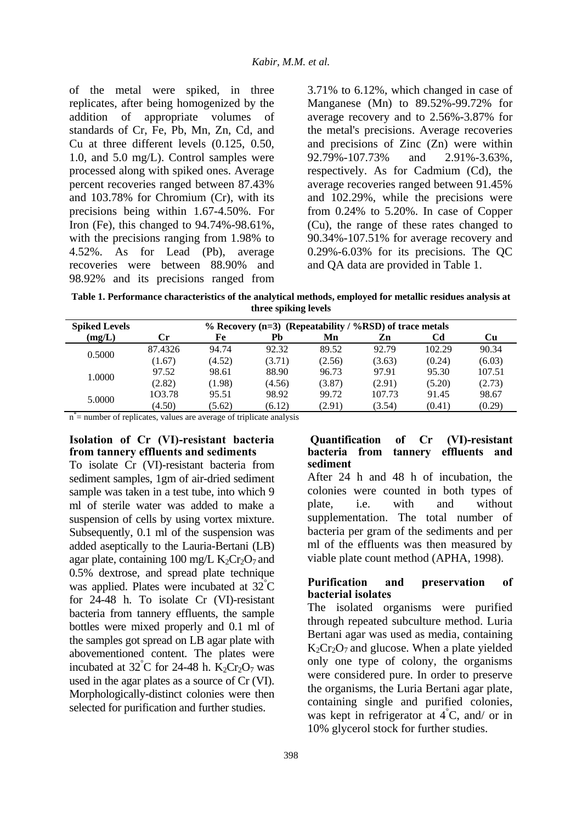of the metal were spiked, in three replicates, after being homogenized by the addition of appropriate volumes of standards of Cr, Fe, Pb, Mn, Zn, Cd, and Cu at three different levels (0.125, 0.50, 1.0, and 5.0 mg/L). Control samples were processed along with spiked ones. Average percent recoveries ranged between 87.43% and 103.78% for Chromium (Cr), with its precisions being within 1.67-4.50%. For Iron (Fe), this changed to 94.74%-98.61%, with the precisions ranging from 1.98% to 4.52%. As for Lead (Pb), average recoveries were between 88.90% and 98.92% and its precisions ranged from 3.71% to 6.12%, which changed in case of Manganese (Mn) to 89.52%-99.72% for average recovery and to 2.56%-3.87% for the metal's precisions. Average recoveries and precisions of Zinc (Zn) were within 92.79%-107.73% and 2.91%-3.63%, respectively. As for Cadmium (Cd), the average recoveries ranged between 91.45% and 102.29%, while the precisions were from 0.24% to 5.20%. In case of Copper (Cu), the range of these rates changed to 90.34%-107.51% for average recovery and 0.29%-6.03% for its precisions. The QC and QA data are provided in Table 1.

**Table 1. Performance characteristics of the analytical methods, employed for metallic residues analysis at three spiking levels**

| <b>Spiked Levels</b> |         | % Recovery $(n=3)$ (Repeatability / %RSD) of trace metals |        |        |        |        |        |  |  |  |
|----------------------|---------|-----------------------------------------------------------|--------|--------|--------|--------|--------|--|--|--|
| (mg/L)               | Cr.     | Fe                                                        | Pb     | Mn     | Zn     | Cd     | Cu     |  |  |  |
| 0.5000               | 87.4326 | 94.74                                                     | 92.32  | 89.52  | 92.79  | 102.29 | 90.34  |  |  |  |
|                      | (1.67)  | (4.52)                                                    | (3.71) | (2.56) | (3.63) | (0.24) | (6.03) |  |  |  |
|                      | 97.52   | 98.61                                                     | 88.90  | 96.73  | 97.91  | 95.30  | 107.51 |  |  |  |
| 1.0000               | (2.82)  | (1.98)                                                    | (4.56) | (3.87) | (2.91) | (5.20) | (2.73) |  |  |  |
| 5.0000               | 103.78  | 95.51                                                     | 98.92  | 99.72  | 107.73 | 91.45  | 98.67  |  |  |  |
|                      | (4.50)  | (5.62)                                                    | (6.12) | (2.91) | (3.54) | (0.41) | (0.29) |  |  |  |

n \* = number of replicates, values are average of triplicate analysis

### **Isolation of Cr (VI)-resistant bacteria from tannery effluents and sediments**

To isolate Cr (VI)-resistant bacteria from sediment samples, 1gm of air-dried sediment sample was taken in a test tube, into which 9 ml of sterile water was added to make a suspension of cells by using vortex mixture. Subsequently, 0.1 ml of the suspension was added aseptically to the Lauria-Bertani (LB) agar plate, containing 100 mg/L  $K_2Cr_2O_7$  and 0.5% dextrose, and spread plate technique was applied. Plates were incubated at  $32^{\circ}$ C for 24-48 h. To isolate Cr (VI)-resistant bacteria from tannery effluents, the sample bottles were mixed properly and 0.1 ml of the samples got spread on LB agar plate with abovementioned content. The plates were incubated at  $32^{\circ}$ C for 24-48 h. K<sub>2</sub>Cr<sub>2</sub>O<sub>7</sub> was used in the agar plates as a source of Cr (VI). Morphologically-distinct colonies were then selected for purification and further studies.

#### **Quantification of Cr (VI)-resistant bacteria from tannery effluents and sediment**

After 24 h and 48 h of incubation, the colonies were counted in both types of plate, i.e. with and without supplementation. The total number of bacteria per gram of the sediments and per ml of the effluents was then measured by viable plate count method (APHA, 1998).

### **Purification and preservation of bacterial isolates**

The isolated organisms were purified through repeated subculture method. Luria Bertani agar was used as media, containing  $K_2Cr_2O_7$  and glucose. When a plate yielded only one type of colony, the organisms were considered pure. In order to preserve the organisms, the Luria Bertani agar plate, containing single and purified colonies, was kept in refrigerator at  $4^{\circ}$ C, and/ or in 10% glycerol stock for further studies.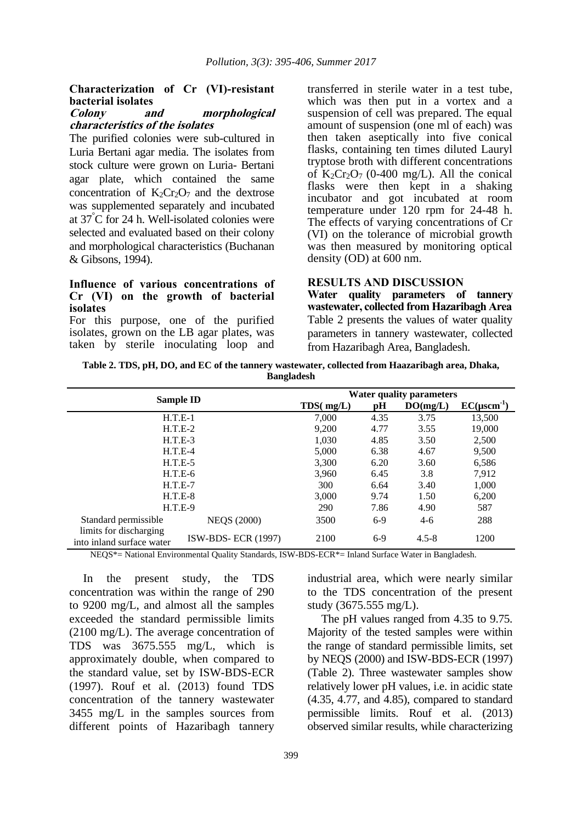## **Characterization of Cr (VI)-resistant bacterial isolates**

### **Colony and morphological characteristics of the isolates**

The purified colonies were sub-cultured in Luria Bertani agar media. The isolates from stock culture were grown on Luria- Bertani agar plate, which contained the same concentration of  $K_2Cr_2O_7$  and the dextrose was supplemented separately and incubated at 37°C for 24 h. Well-isolated colonies were selected and evaluated based on their colony and morphological characteristics (Buchanan & Gibsons, 1994).

#### **Influence of various concentrations of Cr (VI) on the growth of bacterial isolates**

For this purpose, one of the purified isolates, grown on the LB agar plates, was taken by sterile inoculating loop and transferred in sterile water in a test tube, which was then put in a vortex and a suspension of cell was prepared. The equal amount of suspension (one ml of each) was then taken aseptically into five conical flasks, containing ten times diluted Lauryl tryptose broth with different concentrations of  $K_2Cr_2O_7$  (0-400 mg/L). All the conical flasks were then kept in a shaking incubator and got incubated at room temperature under 120 rpm for 24-48 h. The effects of varying concentrations of Cr (VI) on the tolerance of microbial growth was then measured by monitoring optical density (OD) at 600 nm.

#### **RESULTS AND DISCUSSION**

**Water quality parameters of tannery wastewater, collected from Hazaribagh Area** Table 2 presents the values of water quality parameters in tannery wastewater, collected from Hazaribagh Area, Bangladesh.

**Table 2. TDS, pH, DO, and EC of the tannery wastewater, collected from Haazaribagh area, Dhaka, Bangladesh**

|                                                     | <b>Water quality parameters</b> |       |          |                    |        |  |
|-----------------------------------------------------|---------------------------------|-------|----------|--------------------|--------|--|
| <b>Sample ID</b>                                    | TDS(mg/L)                       | рH    | DO(mg/L) | $EC(\mu scm^{-1})$ |        |  |
|                                                     | $H.T.E-1$                       | 7.000 | 4.35     | 3.75               | 13,500 |  |
|                                                     | $H.T.E-2$                       | 9,200 | 4.77     | 3.55               | 19,000 |  |
|                                                     | $H.T.E-3$                       | 1.030 | 4.85     | 3.50               | 2,500  |  |
| $H.T.E-4$                                           | 5,000                           | 6.38  | 4.67     | 9,500              |        |  |
| $H.T.E-5$                                           | 3.300                           | 6.20  | 3.60     | 6,586              |        |  |
| $H.T.E-6$                                           | 3.960                           | 6.45  | 3.8      | 7,912              |        |  |
| $H.T.E-7$                                           | 300                             | 6.64  | 3.40     | 1,000              |        |  |
| $H.T.E-8$                                           | 3.000                           | 9.74  | 1.50     | 6,200              |        |  |
| $H.T.E-9$                                           | 290                             | 7.86  | 4.90     | 587                |        |  |
| Standard permissible                                | <b>NEQS (2000)</b>              | 3500  | $6-9$    | $4-6$              | 288    |  |
| limits for discharging<br>into inland surface water | <b>ISW-BDS-ECR (1997)</b>       | 2100  | $6-9$    | $4.5 - 8$          | 1200   |  |

NEQS\*= National Environmental Quality Standards, ISW-BDS-ECR\*= Inland Surface Water in Bangladesh.

In the present study, the TDS concentration was within the range of 290 to 9200 mg/L, and almost all the samples exceeded the standard permissible limits (2100 mg/L). The average concentration of TDS was 3675.555 mg/L, which is approximately double, when compared to the standard value, set by ISW-BDS-ECR (1997). Rouf et al. (2013) found TDS concentration of the tannery wastewater 3455 mg/L in the samples sources from different points of Hazaribagh tannery industrial area, which were nearly similar to the TDS concentration of the present study (3675.555 mg/L).

The pH values ranged from 4.35 to 9.75. Majority of the tested samples were within the range of standard permissible limits, set by NEQS (2000) and ISW-BDS-ECR (1997) (Table 2). Three wastewater samples show relatively lower pH values, i.e. in acidic state (4.35, 4.77, and 4.85), compared to standard permissible limits. Rouf et al. (2013) observed similar results, while characterizing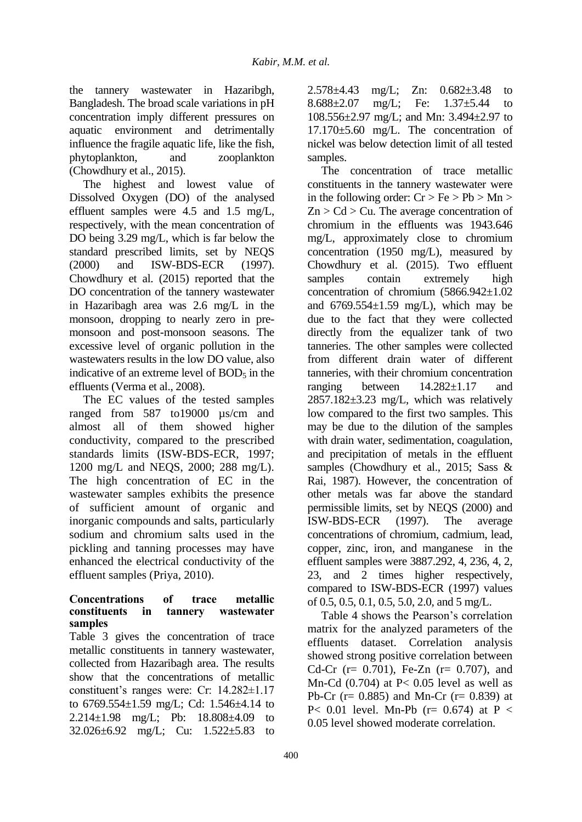the tannery wastewater in Hazaribgh, Bangladesh. The broad scale variations in pH concentration imply different pressures on aquatic environment and detrimentally influence the fragile aquatic life, like the fish, phytoplankton, and zooplankton (Chowdhury et al., 2015).

The highest and lowest value of Dissolved Oxygen (DO) of the analysed effluent samples were 4.5 and 1.5 mg/L, respectively, with the mean concentration of DO being 3.29 mg/L, which is far below the standard prescribed limits, set by NEQS (2000) and ISW-BDS-ECR (1997). Chowdhury et al. (2015) reported that the DO concentration of the tannery wastewater in Hazaribagh area was 2.6 mg/L in the monsoon, dropping to nearly zero in premonsoon and post-monsoon seasons. The excessive level of organic pollution in the wastewaters results in the low DO value, also indicative of an extreme level of  $BOD<sub>5</sub>$  in the effluents (Verma et al., 2008).

The EC values of the tested samples ranged from 587 to19000 µs/cm and almost all of them showed higher conductivity, compared to the prescribed standards limits (ISW-BDS-ECR, 1997; 1200 mg/L and NEQS, 2000; 288 mg/L). The high concentration of EC in the wastewater samples exhibits the presence of sufficient amount of organic and inorganic compounds and salts, particularly sodium and chromium salts used in the pickling and tanning processes may have enhanced the electrical conductivity of the effluent samples (Priya, 2010).

### **Concentrations of trace metallic constituents in tannery wastewater samples**

Table 3 gives the concentration of trace metallic constituents in tannery wastewater, collected from Hazaribagh area. The results show that the concentrations of metallic constituent's ranges were: Cr: 14.282±1.17 to 6769.554±1.59 mg/L; Cd: 1.546±4.14 to 2.214±1.98 mg/L; Pb: 18.808±4.09 to 32.026±6.92 mg/L; Cu: 1.522±5.83 to

2.578±4.43 mg/L; Zn: 0.682±3.48 to 8.688±2.07 mg/L; Fe: 1.37±5.44 to 108.556±2.97 mg/L; and Mn: 3.494±2.97 to 17.170±5.60 mg/L. The concentration of nickel was below detection limit of all tested samples.

The concentration of trace metallic constituents in the tannery wastewater were in the following order:  $Cr > Fe > Pb > Mn >$  $Zn > Cd > Cu$ . The average concentration of chromium in the effluents was 1943.646 mg/L, approximately close to chromium concentration (1950 mg/L), measured by Chowdhury et al. (2015). Two effluent samples contain extremely high concentration of chromium (5866.942±1.02 and  $6769.554 \pm 1.59$  mg/L), which may be due to the fact that they were collected directly from the equalizer tank of two tanneries. The other samples were collected from different drain water of different tanneries, with their chromium concentration ranging between 14.282±1.17 and 2857.182±3.23 mg/L, which was relatively low compared to the first two samples. This may be due to the dilution of the samples with drain water, sedimentation, coagulation, and precipitation of metals in the effluent samples (Chowdhury et al., 2015; Sass & Rai, 1987). However, the concentration of other metals was far above the standard permissible limits, set by NEQS (2000) and ISW-BDS-ECR (1997). The average concentrations of chromium, cadmium, lead, copper, zinc, iron, and manganese in the effluent samples were 3887.292, 4, 236, 4, 2, 23, and 2 times higher respectively, compared to ISW-BDS-ECR (1997) values of 0.5, 0.5, 0.1, 0.5, 5.0, 2.0, and 5 mg/L.

Table 4 shows the Pearson's correlation matrix for the analyzed parameters of the effluents dataset. Correlation analysis showed strong positive correlation between Cd-Cr (r= 0.701), Fe-Zn (r= 0.707), and Mn-Cd  $(0.704)$  at P< 0.05 level as well as Pb-Cr ( $r= 0.885$ ) and Mn-Cr ( $r= 0.839$ ) at P< 0.01 level. Mn-Pb  $(r= 0.674)$  at P < 0.05 level showed moderate correlation.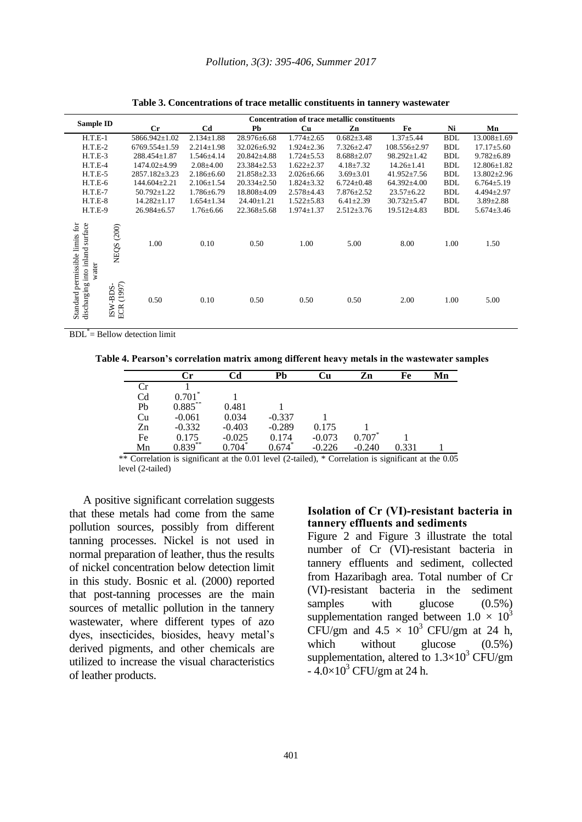| <b>Sample ID</b>                                                                  |                         | <b>Concentration of trace metallic constituents</b> |                  |                   |                  |                  |                    |            |                   |  |
|-----------------------------------------------------------------------------------|-------------------------|-----------------------------------------------------|------------------|-------------------|------------------|------------------|--------------------|------------|-------------------|--|
|                                                                                   |                         | Cr                                                  | C <sub>d</sub>   | Pb                | Cu               | Zn               | Fe                 | Ni         | Mn                |  |
| $H.T.E-1$                                                                         |                         | 5866.942±1.02                                       | $2.134 \pm 1.88$ | 28.976±6.68       | $1.774 \pm 2.65$ | $0.682 \pm 3.48$ | $1.37 + 5.44$      | <b>BDL</b> | $13.008 \pm 1.69$ |  |
| $H.T.E-2$                                                                         |                         | $6769.554 \pm 1.59$                                 | $2.214 \pm 1.98$ | $32.026 \pm 6.92$ | $1.924 \pm 2.36$ | $7.326 \pm 2.47$ | $108.556 \pm 2.97$ | <b>BDL</b> | $17.17 \pm 5.60$  |  |
| $H.T.E-3$                                                                         |                         | $288.454 \pm 1.87$                                  | $1.546{\pm}4.14$ | $20.842 \pm 4.88$ | $1.724 \pm 5.53$ | $8.688 \pm 2.07$ | $98.292 \pm 1.42$  | <b>BDL</b> | $9.782 \pm 6.89$  |  |
| $H.T.E-4$                                                                         |                         | 1474.02±4.99                                        | $2.08 \pm 4.00$  | $23.384 \pm 2.53$ | $1.622 \pm 2.37$ | $4.18 \pm 7.32$  | $14.26 \pm 1.41$   | <b>BDL</b> | 12.806±1.82       |  |
| $H.T.E-5$                                                                         |                         | $2857.182 \pm 3.23$                                 | $2.186 \pm 6.60$ | $21.858 \pm 2.33$ | $2.026 \pm 6.66$ | $3.69 \pm 3.01$  | $41.952 \pm 7.56$  | <b>BDL</b> | $13.802 \pm 2.96$ |  |
| $H.T.E-6$                                                                         |                         | 144.604±2.21                                        | $2.106 \pm 1.54$ | $20.334 \pm 2.50$ | $1.824 \pm 3.32$ | $6.724 \pm 0.48$ | 64.392±4.00        | <b>BDL</b> | $6.764 \pm 5.19$  |  |
| $H.T.E-7$                                                                         |                         | $50.792 \pm 1.22$                                   | $1.786 \pm 6.79$ | 18.808±4.09       | $2.578 \pm 4.43$ | $7.876 \pm 2.52$ | $23.57 \pm 6.22$   | <b>BDL</b> | $4.494 \pm 2.97$  |  |
| $H.T.E-8$                                                                         |                         | $14.282 \pm 1.17$                                   | $1.654 \pm 1.34$ | $24.40 \pm 1.21$  | $1.522 \pm 5.83$ | $6.41 \pm 2.39$  | $30.732 \pm 5.47$  | <b>BDL</b> | $3.89 \pm 2.88$   |  |
| $H.T.E-9$                                                                         |                         | 26.984±6.57                                         | $1.76 \pm 6.66$  | $22.368 \pm 5.68$ | $1.974 \pm 1.37$ | $2.512 \pm 3.76$ | $19.512 \pm 4.83$  | <b>BDL</b> | $5.674 \pm 3.46$  |  |
| surface<br>Standard permissible limits for<br>into inland<br>water<br>discharging | NEQS (200)              | 1.00                                                | 0.10             | 0.50              | 1.00             | 5.00             | 8.00               | 1.00       | 1.50              |  |
|                                                                                   | ECR (1997)<br>$ISW-BDS$ | 0.50                                                | 0.10             | 0.50              | 0.50             | 0.50             | 2.00               | 1.00       | 5.00              |  |

**Table 3. Concentrations of trace metallic constituents in tannery wastewater**

BDL\* = Bellow detection limit

**Table 4. Pearson's correlation matrix among different heavy metals in the wastewater samples**

|                | Сr         | Cd       | Pb       | Сu       | Zn       | Fe    | Mn |
|----------------|------------|----------|----------|----------|----------|-------|----|
| Сr             |            |          |          |          |          |       |    |
| C <sub>d</sub> | $0.701*$   |          |          |          |          |       |    |
| Pb             | $0.885***$ | 0.481    |          |          |          |       |    |
| Cu             | $-0.061$   | 0.034    | $-0.337$ |          |          |       |    |
| Zn             | $-0.332$   | $-0.403$ | $-0.289$ | 0.175    |          |       |    |
| Fe             | 0.175      | $-0.025$ | 0.174    | $-0.073$ | $0.707*$ |       |    |
| Mn             | $0.839***$ | 0.704    | 0.674    | $-0.226$ | $-0.240$ | 0.331 |    |

\*\* Correlation is significant at the 0.01 level (2-tailed), \* Correlation is significant at the 0.05 level (2-tailed)

A positive significant correlation suggests that these metals had come from the same pollution sources, possibly from different tanning processes. Nickel is not used in normal preparation of leather, thus the results of nickel concentration below detection limit in this study. Bosnic et al. (2000) reported that post-tanning processes are the main sources of metallic pollution in the tannery wastewater, where different types of azo dyes, insecticides, biosides, heavy metal's derived pigments, and other chemicals are utilized to increase the visual characteristics of leather products.

### **Isolation of Cr (VI)-resistant bacteria in tannery effluents and sediments**

Figure 2 and Figure 3 illustrate the total number of Cr (VI)-resistant bacteria in tannery effluents and sediment, collected from Hazaribagh area. Total number of Cr (VI)-resistant bacteria in the sediment samples with glucose  $(0.5\%)$ supplementation ranged between  $1.0 \times 10^3$ CFU/gm and  $4.5 \times 10^3$  CFU/gm at 24 h, which without glucose  $(0.5\%)$ supplementation, altered to  $1.3\times10^3$  CFU/gm  $-4.0\times10^{3}$  CFU/gm at 24 h.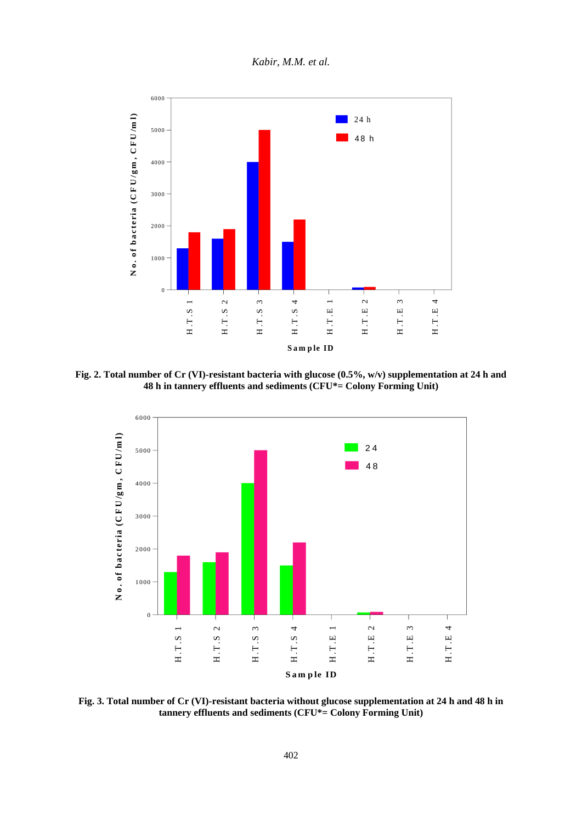*Kabir, M.M. et al.*



**Fig. 2. Total number of Cr (VI)-resistant bacteria with glucose (0.5%, w/v) supplementation at 24 h and 48 h in tannery effluents and sediments (CFU\*= Colony Forming Unit)**



**Fig. 3. Total number of Cr (VI)-resistant bacteria without glucose supplementation at 24 h and 48 h in tannery effluents and sediments (CFU\*= Colony Forming Unit)**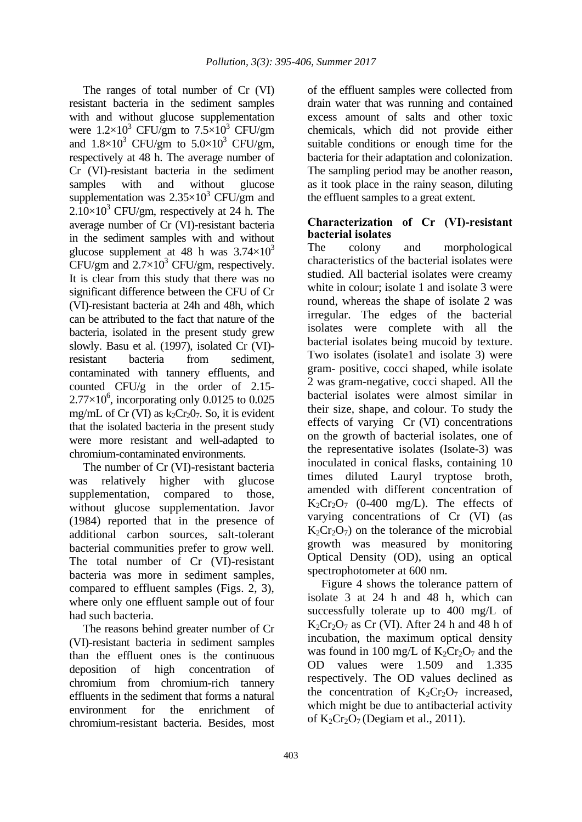The ranges of total number of Cr (VI) resistant bacteria in the sediment samples with and without glucose supplementation were  $1.2\times10^3$  CFU/gm to  $7.5\times10^3$  CFU/gm and  $1.8\times10^3$  CFU/gm to  $5.0\times10^3$  CFU/gm, respectively at 48 h. The average number of Cr (VI)-resistant bacteria in the sediment samples with and without glucose supplementation was  $2.35 \times 10^3$  CFU/gm and  $2.10\times10^{3}$  CFU/gm, respectively at 24 h. The average number of Cr (VI)-resistant bacteria in the sediment samples with and without glucose supplement at 48 h was  $3.74\times10^{3}$ CFU/gm and  $2.7\times10^3$  CFU/gm, respectively. It is clear from this study that there was no significant difference between the CFU of Cr (VI)-resistant bacteria at 24h and 48h, which can be attributed to the fact that nature of the bacteria, isolated in the present study grew slowly. Basu et al. (1997), isolated Cr (VI) resistant bacteria from sediment contaminated with tannery effluents, and counted CFU/g in the order of 2.15-  $2.77\times10^6$ , incorporating only 0.0125 to 0.025 mg/mL of Cr (VI) as  $k_2Cr_2O_7$ . So, it is evident that the isolated bacteria in the present study were more resistant and well-adapted to chromium-contaminated environments.

The number of Cr (VI)-resistant bacteria was relatively higher with glucose supplementation, compared to those, without glucose supplementation. Javor (1984) reported that in the presence of additional carbon sources, salt-tolerant bacterial communities prefer to grow well. The total number of Cr (VI)-resistant bacteria was more in sediment samples, compared to effluent samples (Figs. 2, 3), where only one effluent sample out of four had such bacteria.

The reasons behind greater number of Cr (VI)-resistant bacteria in sediment samples than the effluent ones is the continuous deposition of high concentration of chromium from chromium-rich tannery effluents in the sediment that forms a natural environment for the enrichment of chromium-resistant bacteria. Besides, most

of the effluent samples were collected from drain water that was running and contained excess amount of salts and other toxic chemicals, which did not provide either suitable conditions or enough time for the bacteria for their adaptation and colonization. The sampling period may be another reason, as it took place in the rainy season, diluting the effluent samples to a great extent.

## **Characterization of Cr (VI)-resistant bacterial isolates**

The colony and morphological characteristics of the bacterial isolates were studied. All bacterial isolates were creamy white in colour; isolate 1 and isolate 3 were round, whereas the shape of isolate 2 was irregular. The edges of the bacterial isolates were complete with all the bacterial isolates being mucoid by texture. Two isolates (isolate1 and isolate 3) were gram- positive, cocci shaped, while isolate 2 was gram-negative, cocci shaped. All the bacterial isolates were almost similar in their size, shape, and colour. To study the effects of varying Cr (VI) concentrations on the growth of bacterial isolates, one of the representative isolates (Isolate-3) was inoculated in conical flasks, containing 10 times diluted Lauryl tryptose broth, amended with different concentration of  $K_2Cr_2O_7$  (0-400 mg/L). The effects of varying concentrations of Cr (VI) (as  $K_2Cr_2O_7$  on the tolerance of the microbial growth was measured by monitoring Optical Density (OD), using an optical spectrophotometer at 600 nm.

Figure 4 shows the tolerance pattern of isolate 3 at 24 h and 48 h, which can successfully tolerate up to 400 mg/L of  $K_2Cr_2O_7$  as Cr (VI). After 24 h and 48 h of incubation, the maximum optical density was found in 100 mg/L of  $K_2Cr_2O_7$  and the OD values were 1.509 and 1.335 respectively. The OD values declined as the concentration of  $K_2Cr_2O_7$  increased, which might be due to antibacterial activity of  $K_2Cr_2O_7$  (Degiam et al., 2011).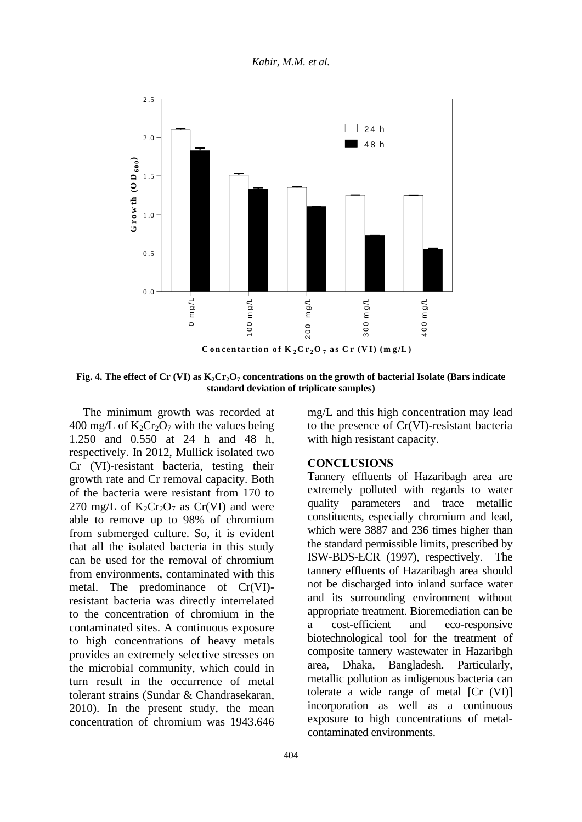

**Fig. 4. The effect of Cr (VI) as K2Cr2O<sup>7</sup> concentrations on the growth of bacterial Isolate (Bars indicate standard deviation of triplicate samples)**

The minimum growth was recorded at 400 mg/L of  $K_2Cr_2O_7$  with the values being 1.250 and 0.550 at 24 h and 48 h, respectively. In 2012, Mullick isolated two Cr (VI)-resistant bacteria, testing their growth rate and Cr removal capacity. Both of the bacteria were resistant from 170 to 270 mg/L of  $K_2Cr_2O_7$  as Cr(VI) and were able to remove up to 98% of chromium from submerged culture. So, it is evident that all the isolated bacteria in this study can be used for the removal of chromium from environments, contaminated with this metal. The predominance of Cr(VI) resistant bacteria was directly interrelated to the concentration of chromium in the contaminated sites. A continuous exposure to high concentrations of heavy metals provides an extremely selective stresses on the microbial community, which could in turn result in the occurrence of metal tolerant strains (Sundar & Chandrasekaran, 2010). In the present study, the mean concentration of chromium was 1943.646 mg/L and this high concentration may lead to the presence of Cr(VI)-resistant bacteria with high resistant capacity.

#### **CONCLUSIONS**

Tannery effluents of Hazaribagh area are extremely polluted with regards to water quality parameters and trace metallic constituents, especially chromium and lead, which were 3887 and 236 times higher than the standard permissible limits, prescribed by ISW-BDS-ECR (1997), respectively. The tannery effluents of Hazaribagh area should not be discharged into inland surface water and its surrounding environment without appropriate treatment. Bioremediation can be a cost-efficient and eco-responsive biotechnological tool for the treatment of composite tannery wastewater in Hazaribgh area, Dhaka, Bangladesh. Particularly, metallic pollution as indigenous bacteria can tolerate a wide range of metal [Cr (VI)] incorporation as well as a continuous exposure to high concentrations of metalcontaminated environments.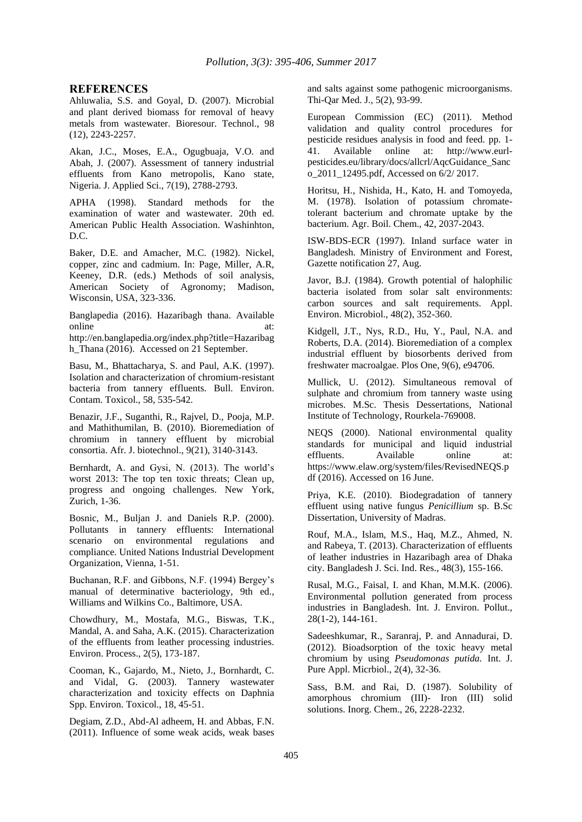#### **REFERENCES**

Ahluwalia, S.S. and Goyal, D. (2007). Microbial and plant derived biomass for removal of heavy metals from wastewater. Bioresour. Technol., 98 (12), 2243-2257.

Akan, J.C., Moses, E.A., Ogugbuaja, V.O. and Abah, J. (2007). Assessment of tannery industrial effluents from Kano metropolis, Kano state, Nigeria. J. Applied Sci., 7(19), 2788-2793.

APHA (1998). Standard methods for the examination of water and wastewater. 20th ed. American Public Health Association. Washinhton, D.C.

Baker, D.E. and Amacher, M.C. (1982). Nickel, copper, zinc and cadmium. In: Page, Miller, A.R, Keeney, D.R. (eds.) Methods of soil analysis, American Society of Agronomy; Madison, Wisconsin, USA, 323-336.

Banglapedia (2016). Hazaribagh thana. Available online at: http://en.banglapedia.org/index.php?title=Hazaribag h\_Thana (2016). Accessed on 21 September.

Basu, M., Bhattacharya, S. and Paul, A.K. (1997). Isolation and characterization of chromium-resistant bacteria from tannery effluents. Bull. Environ. Contam. Toxicol., 58, 535-542.

Benazir, J.F., Suganthi, R., Rajvel, D., Pooja, M.P. and Mathithumilan, B. (2010). Bioremediation of chromium in tannery effluent by microbial consortia. Afr. J. biotechnol., 9(21), 3140-3143.

Bernhardt, A. and Gysi, N. (2013). The world's worst 2013: The top ten toxic threats; Clean up, progress and ongoing challenges. New York, Zurich, 1-36.

Bosnic, M., Buljan J. and Daniels R.P. (2000). Pollutants in tannery effluents: International scenario on environmental regulations and compliance. United Nations Industrial Development Organization, Vienna, 1-51.

Buchanan, R.F. and Gibbons, N.F. (1994) Bergey's manual of determinative bacteriology, 9th ed., Williams and Wilkins Co., Baltimore, USA.

Chowdhury, M., Mostafa, M.G., Biswas, T.K., Mandal, A. and Saha, A.K. (2015). Characterization of the effluents from leather processing industries. Environ. Process., 2(5), 173-187.

Cooman, K., Gajardo, M., Nieto, J., Bornhardt, C. and Vidal, G. (2003). Tannery wastewater characterization and toxicity effects on Daphnia Spp. Environ. Toxicol., 18, 45-51.

Degiam, Z.D., Abd-Al adheem, H. and Abbas, F.N. (2011). Influence of some weak acids, weak bases and salts against some pathogenic microorganisms. Thi-Qar Med. J., 5(2), 93-99.

European Commission (EC) (2011). Method validation and quality control procedures for pesticide residues analysis in food and feed. pp. 1- 41. Available online at: http://www.eurlpesticides.eu/library/docs/allcrl/AqcGuidance\_Sanc o\_2011\_12495.pdf, Accessed on 6/2/ 2017.

Horitsu, H., Nishida, H., Kato, H. and Tomoyeda, M. (1978). Isolation of potassium chromatetolerant bacterium and chromate uptake by the bacterium. Agr. Boil. Chem., 42, 2037-2043.

ISW-BDS-ECR (1997). Inland surface water in Bangladesh. Ministry of Environment and Forest, Gazette notification 27, Aug.

Javor, B.J. (1984). Growth potential of halophilic bacteria isolated from solar salt environments: carbon sources and salt requirements. Appl. Environ. Microbiol., 48(2), 352-360.

Kidgell, J.T., Nys, R.D., Hu, Y., Paul, N.A. and Roberts, D.A. (2014). Bioremediation of a complex industrial effluent by biosorbents derived from freshwater macroalgae. Plos One, 9(6), e94706.

Mullick, U. (2012). Simultaneous removal of sulphate and chromium from tannery waste using microbes. M.Sc. Thesis Dessertations, National Institute of Technology, Rourkela-769008.

NEQS (2000). National environmental quality standards for municipal and liquid industrial effluents. Available online at: https://www.elaw.org/system/files/RevisedNEQS.p df (2016). Accessed on 16 June.

Priya, K.E. (2010). Biodegradation of tannery effluent using native fungus *Penicillium* sp. B.Sc Dissertation, University of Madras.

Rouf, M.A., Islam, M.S., Haq, M.Z., Ahmed, N. and Rabeya, T. (2013). Characterization of effluents of leather industries in Hazaribagh area of Dhaka city. Bangladesh J. Sci. Ind. Res., 48(3), 155-166.

Rusal, M.G., Faisal, I. and Khan, M.M.K. (2006). Environmental pollution generated from process industries in Bangladesh. Int. J. Environ. Pollut., 28(1-2), 144-161.

Sadeeshkumar, R., Saranraj, P. and Annadurai, D. (2012). Bioadsorption of the toxic heavy metal chromium by using *Pseudomonas putida.* Int. J. Pure Appl. Micrbiol., 2(4), 32-36.

Sass, B.M. and Rai, D. (1987). Solubility of amorphous chromium (III)- Iron (III) solid solutions. Inorg. Chem., 26, 2228-2232.